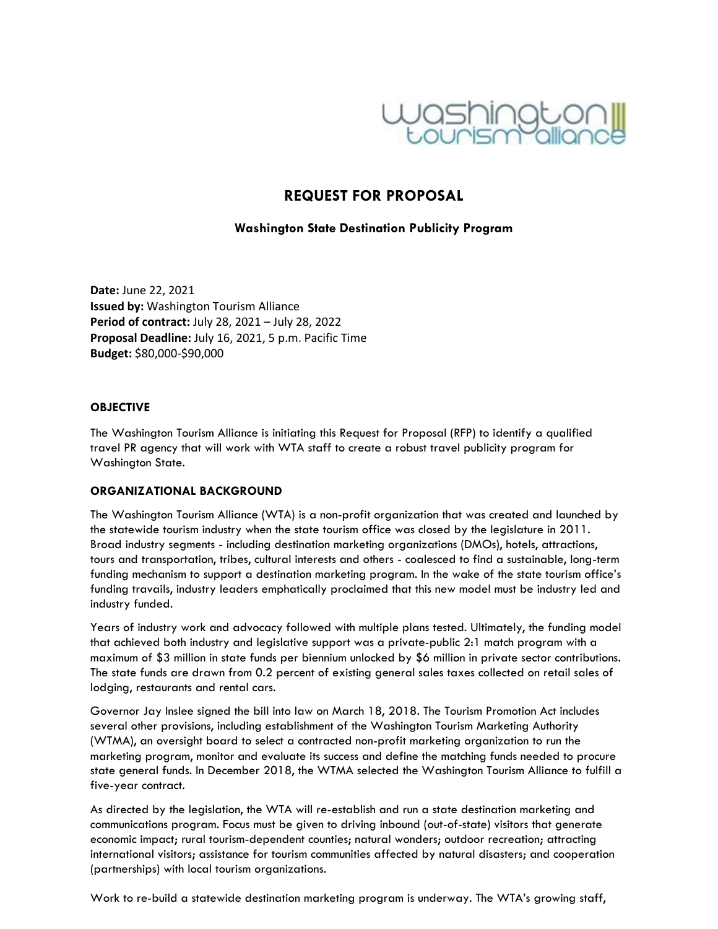

# **REQUEST FOR PROPOSAL**

## **Washington State Destination Publicity Program**

 **Date:** June 22, 2021  **Issued by:** Washington Tourism Alliance  **Period of contract:** July 28, 2021 – July 28, 2022  **Proposal Deadline:** July 16, 2021, 5 p.m. Pacific Time  **Budget:** \$80,000-\$90,000

#### **OBJECTIVE**

The Washington Tourism Alliance is initiating this Request for Proposal (RFP) to identify a qualified travel PR agency that will work with WTA staff to create a robust travel publicity program for Washington State.

#### **ORGANIZATIONAL BACKGROUND**

The Washington Tourism Alliance (WTA) is a non-profit organization that was created and launched by the statewide tourism industry when the state tourism office was closed by the legislature in 2011. Broad industry segments - including destination marketing organizations (DMOs), hotels, attractions, tours and transportation, tribes, cultural interests and others - coalesced to find a sustainable, long-term funding mechanism to support a destination marketing program. In the wake of the state tourism office's funding travails, industry leaders emphatically proclaimed that this new model must be industry led and industry funded.

Years of industry work and advocacy followed with multiple plans tested. Ultimately, the funding model that achieved both industry and legislative support was a private-public 2:1 match program with a maximum of \$3 million in state funds per biennium unlocked by \$6 million in private sector contributions. The state funds are drawn from 0.2 percent of existing general sales taxes collected on retail sales of lodging, restaurants and rental cars.

Governor Jay Inslee signed the bill into law on March 18, 2018. The Tourism Promotion Act includes several other provisions, including establishment of the Washington Tourism Marketing Authority (WTMA), an oversight board to select a contracted non-profit marketing organization to run the marketing program, monitor and evaluate its success and define the matching funds needed to procure state general funds. In December 2018, the WTMA selected the Washington Tourism Alliance to fulfill a five-year contract.

As directed by the legislation, the WTA will re-establish and run a state destination marketing and communications program. Focus must be given to driving inbound (out-of-state) visitors that generate economic impact; rural tourism-dependent counties; natural wonders; outdoor recreation; attracting international visitors; assistance for tourism communities affected by natural disasters; and cooperation (partnerships) with local tourism organizations.

Work to re-build a statewide destination marketing program is underway. The WTA's growing staff,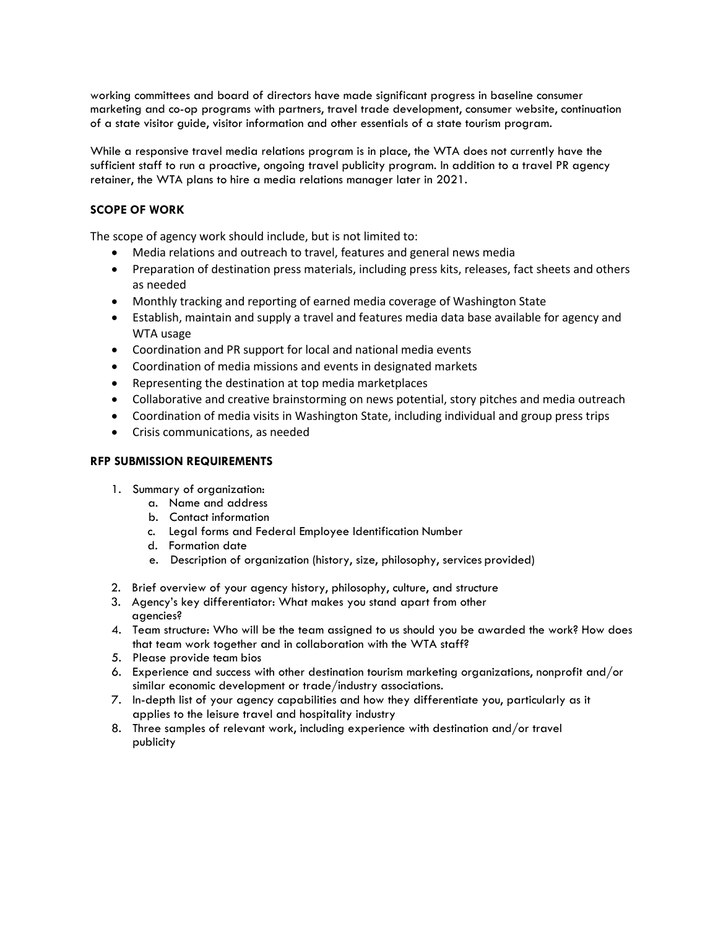working committees and board of directors have made significant progress in baseline consumer marketing and co-op programs with partners, travel trade development, consumer website, continuation of a state visitor guide, visitor information and other essentials of a state tourism program.

While a responsive travel media relations program is in place, the WTA does not currently have the sufficient staff to run a proactive, ongoing travel publicity program. In addition to a travel PR agency retainer, the WTA plans to hire a media relations manager later in 2021.

## **SCOPE OF WORK**

The scope of agency work should include, but is not limited to:

- Media relations and outreach to travel, features and general news media
- Preparation of destination press materials, including press kits, releases, fact sheets and others as needed
- Monthly tracking and reporting of earned media coverage of Washington State
- Establish, maintain and supply a travel and features media data base available for agency and WTA usage
- Coordination and PR support for local and national media events
- Coordination of media missions and events in designated markets
- Representing the destination at top media marketplaces
- Collaborative and creative brainstorming on news potential, story pitches and media outreach
- Coordination of media visits in Washington State, including individual and group press trips
- Crisis communications, as needed

#### **RFP SUBMISSION REQUIREMENTS**

- 1. Summary of organization:
	- a. Name and address
	- b. Contact information
	- c. Legal forms and Federal Employee Identification Number
	- d. Formation date
	- e. Description of organization (history, size, philosophy, services provided)
- 2. Brief overview of your agency history, philosophy, culture, and structure
- 3. Agency's key differentiator: What makes you stand apart from other agencies?
- 4. Team structure: Who will be the team assigned to us should you be awarded the work? How does that team work together and in collaboration with the WTA staff?
- 5. Please provide team bios
- 6. Experience and success with other destination tourism marketing organizations, nonprofit and/or similar economic development or trade/industry associations.
- 7. In-depth list of your agency capabilities and how they differentiate you, particularly as it applies to the leisure travel and hospitality industry
- 8. Three samples of relevant work, including experience with destination and/or travel publicity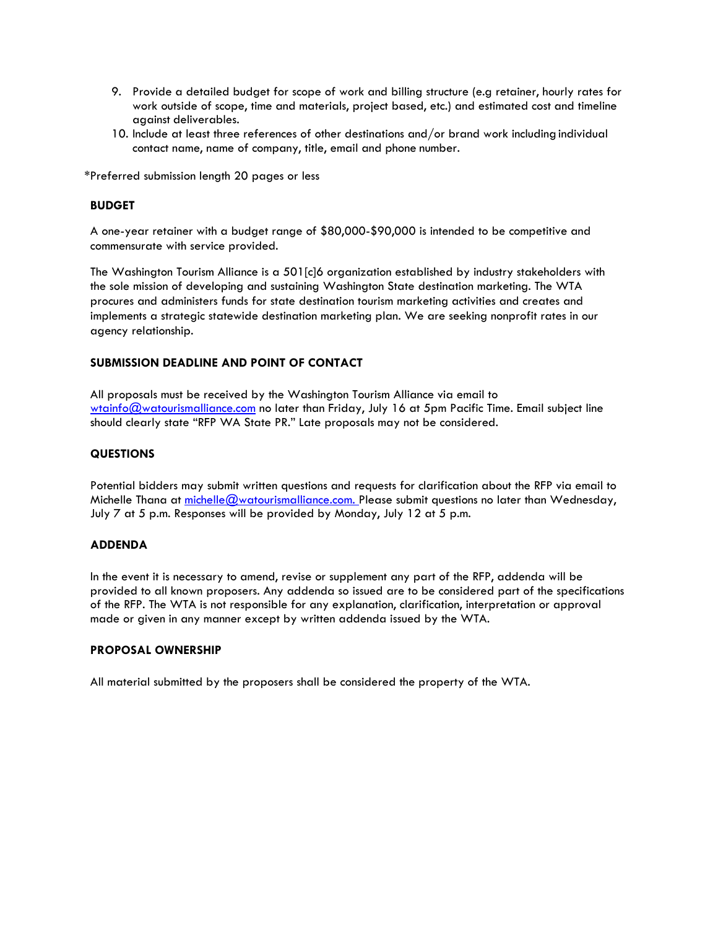- 9. Provide a detailed budget for scope of work and billing structure (e.g retainer, hourly rates for work outside of scope, time and materials, project based, etc.) and estimated cost and timeline against deliverables.
- 10. Include at least three references of other destinations and/or brand work including individual contact name, name of company, title, email and phone number.

\*Preferred submission length 20 pages or less

#### **BUDGET**

A one-year retainer with a budget range of \$80,000-\$90,000 is intended to be competitive and commensurate with service provided.

The Washington Tourism Alliance is a 501[c]6 organization established by industry stakeholders with the sole mission of developing and sustaining Washington State destination marketing. The WTA procures and administers funds for state destination tourism marketing activities and creates and implements a strategic statewide destination marketing plan. We are seeking nonprofit rates in our agency relationship.

#### **SUBMISSION DEADLINE AND POINT OF CONTACT**

All proposals must be received by the Washington Tourism Alliance via email to [wtainfo@watourismalliance.com](mailto:wtainfo@watourismalliance.com) no later than Friday, July 16 at 5pm Pacific Time. Email subject line should clearly state "RFP WA State PR." Late proposals may not be considered.

#### **QUESTIONS**

Potential bidders may submit written questions and requests for clarification about the RFP via email to Michelle Thana at michelle @watourismalliance.com. Please submit questions no later than Wednesday, July 7 at 5 p.m. Responses will be provided by Monday, July 12 at 5 p.m.

#### **ADDENDA**

In the event it is necessary to amend, revise or supplement any part of the RFP, addenda will be provided to all known proposers. Any addenda so issued are to be considered part of the specifications of the RFP. The WTA is not responsible for any explanation, clarification, interpretation or approval made or given in any manner except by written addenda issued by the WTA.

#### **PROPOSAL OWNERSHIP**

All material submitted by the proposers shall be considered the property of the WTA.